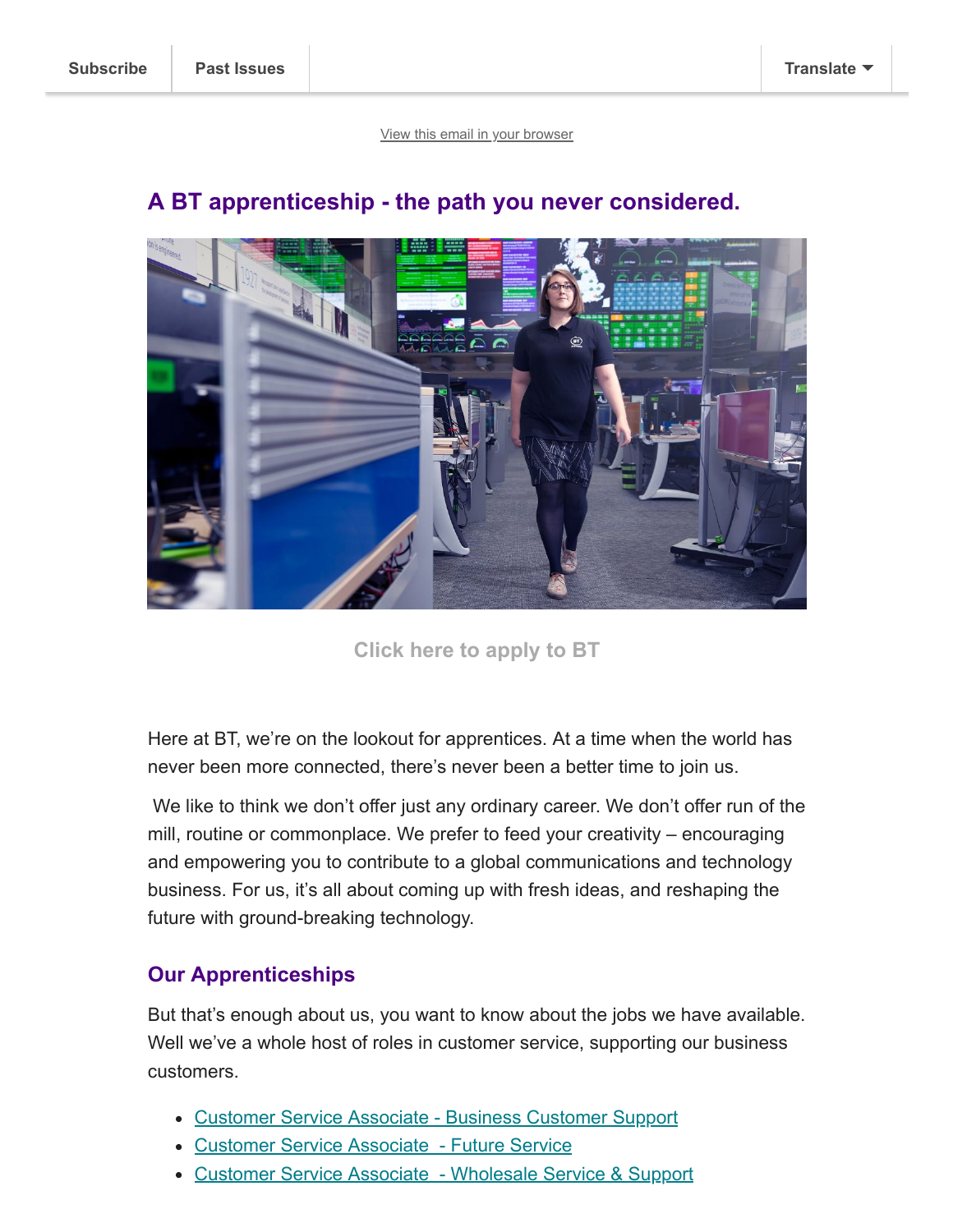[View this email in your browser](https://mailchi.mp/successatschool/bt-apprenticeships-are-live-apply-today-1279648?e=a37159ec45)



## **A BT apprenticeship - the path you never considered.**

**[Click here to apply to BT](https://www.bt.com/careers/early-careers/apprentices?utm_source=successatschool&utm_medium=email&utm_campaign=apprentices2021)**

Here at BT, we're on the lookout for apprentices. At a time when the world has never been more connected, there's never been a better time to join us.

 We like to think we don't offer just any ordinary career. We don't offer run of the mill, routine or commonplace. We prefer to feed your creativity – encouraging and empowering you to contribute to a global communications and technology business. For us, it's all about coming up with fresh ideas, and reshaping the future with ground-breaking technology.

## **Our Apprenticeships**

But that's enough about us, you want to know about the jobs we have available. Well we've a whole host of roles in customer service, supporting our business customers.

- [Customer Service Associate Business Customer Support](https://www.bt.com/careers/early-careers/apprentices/our-programmes/customer-service-business-customer-support?utm_source=successatschool&utm_medium=email&utm_campaign=apprentices2021)
- [Customer Service Associate Future Service](https://www.bt.com/careers/early-careers/apprentices/our-programmes/customer-service-future-service?utm_source=successatschool&utm_medium=email&utm_campaign=apprentices2021)
- [Customer Service Associate Wholesale Service & Support](https://www.bt.com/careers/early-careers/apprentices/our-programmes/customer-service-wholesale-support-service?utm_source=successatschool&utm_medium=email&utm_campaign=apprentices2021)